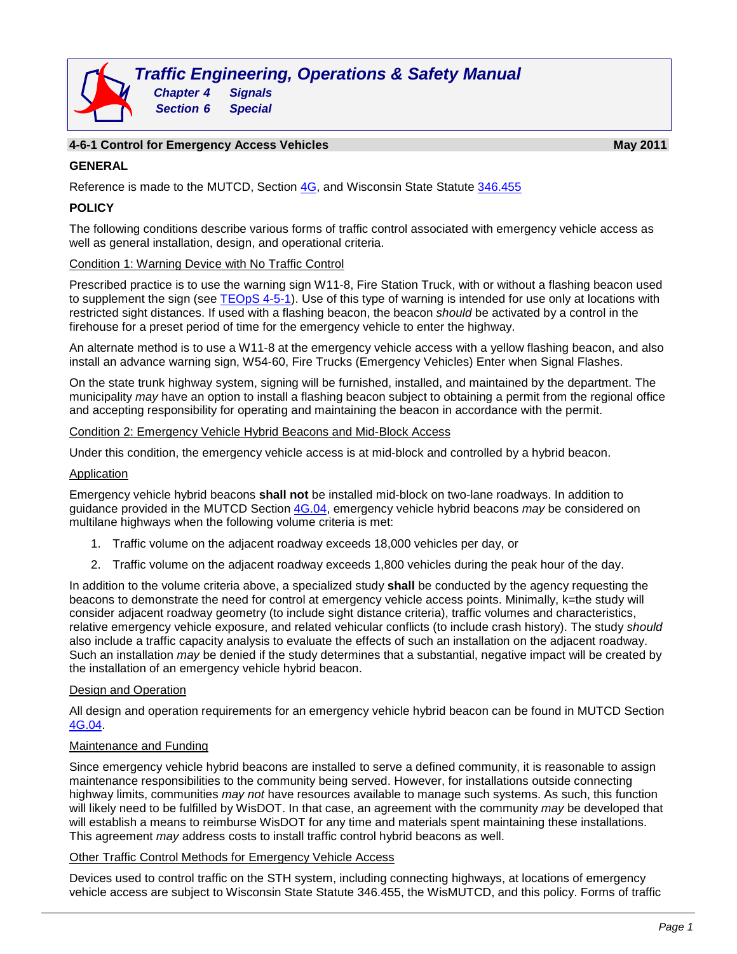### **4-6-1 Control for Emergency Access Vehicles May 2011**

#### **GENERAL**

Reference is made to the MUTCD, Section [4G,](http://wisconsindot.gov/dtsdManuals/traffic-ops/manuals-and-standards/mutcd-ch04.pdf) and Wisconsin State Statute [346.455](https://docs.legis.wisconsin.gov/statutes/statutes/346)

## **POLICY**

The following conditions describe various forms of traffic control associated with emergency vehicle access as well as general installation, design, and operational criteria.

#### Condition 1: Warning Device with No Traffic Control

Prescribed practice is to use the warning sign W11-8, Fire Station Truck, with or without a flashing beacon used to supplement the sign (see [TEOpS](http://wisconsindot.gov/dtsdManuals/traffic-ops/manuals-and-standards/teops/04-05.pdf) 4-5-1). Use of this type of warning is intended for use only at locations with restricted sight distances. If used with a flashing beacon, the beacon *should* be activated by a control in the firehouse for a preset period of time for the emergency vehicle to enter the highway.

An alternate method is to use a W11-8 at the emergency vehicle access with a yellow flashing beacon, and also install an advance warning sign, W54-60, Fire Trucks (Emergency Vehicles) Enter when Signal Flashes.

On the state trunk highway system, signing will be furnished, installed, and maintained by the department. The municipality *may* have an option to install a flashing beacon subject to obtaining a permit from the regional office and accepting responsibility for operating and maintaining the beacon in accordance with the permit.

#### Condition 2: Emergency Vehicle Hybrid Beacons and Mid-Block Access

Under this condition, the emergency vehicle access is at mid-block and controlled by a hybrid beacon.

#### Application

Emergency vehicle hybrid beacons **shall not** be installed mid-block on two-lane roadways. In addition to guidance provided in the MUTCD Section [4G.04,](http://wisconsindot.gov/dtsdManuals/traffic-ops/manuals-and-standards/mutcd-ch04.pdf) emergency vehicle hybrid beacons *may* be considered on multilane highways when the following volume criteria is met:

- 1. Traffic volume on the adjacent roadway exceeds 18,000 vehicles per day, or
- 2. Traffic volume on the adjacent roadway exceeds 1,800 vehicles during the peak hour of the day.

In addition to the volume criteria above, a specialized study **shall** be conducted by the agency requesting the beacons to demonstrate the need for control at emergency vehicle access points. Minimally, k=the study will consider adjacent roadway geometry (to include sight distance criteria), traffic volumes and characteristics, relative emergency vehicle exposure, and related vehicular conflicts (to include crash history). The study *should* also include a traffic capacity analysis to evaluate the effects of such an installation on the adjacent roadway. Such an installation *may* be denied if the study determines that a substantial, negative impact will be created by the installation of an emergency vehicle hybrid beacon.

#### Design and Operation

All design and operation requirements for an emergency vehicle hybrid beacon can be found in MUTCD Section [4G.04.](http://wisconsindot.gov/dtsdManuals/traffic-ops/manuals-and-standards/mutcd-ch04.pdf)

#### Maintenance and Funding

Since emergency vehicle hybrid beacons are installed to serve a defined community, it is reasonable to assign maintenance responsibilities to the community being served. However, for installations outside connecting highway limits, communities *may not* have resources available to manage such systems. As such, this function will likely need to be fulfilled by WisDOT. In that case, an agreement with the community *may* be developed that will establish a means to reimburse WisDOT for any time and materials spent maintaining these installations. This agreement *may* address costs to install traffic control hybrid beacons as well.

#### Other Traffic Control Methods for Emergency Vehicle Access

Devices used to control traffic on the STH system, including connecting highways, at locations of emergency vehicle access are subject to Wisconsin State Statute 346.455, the WisMUTCD, and this policy. Forms of traffic